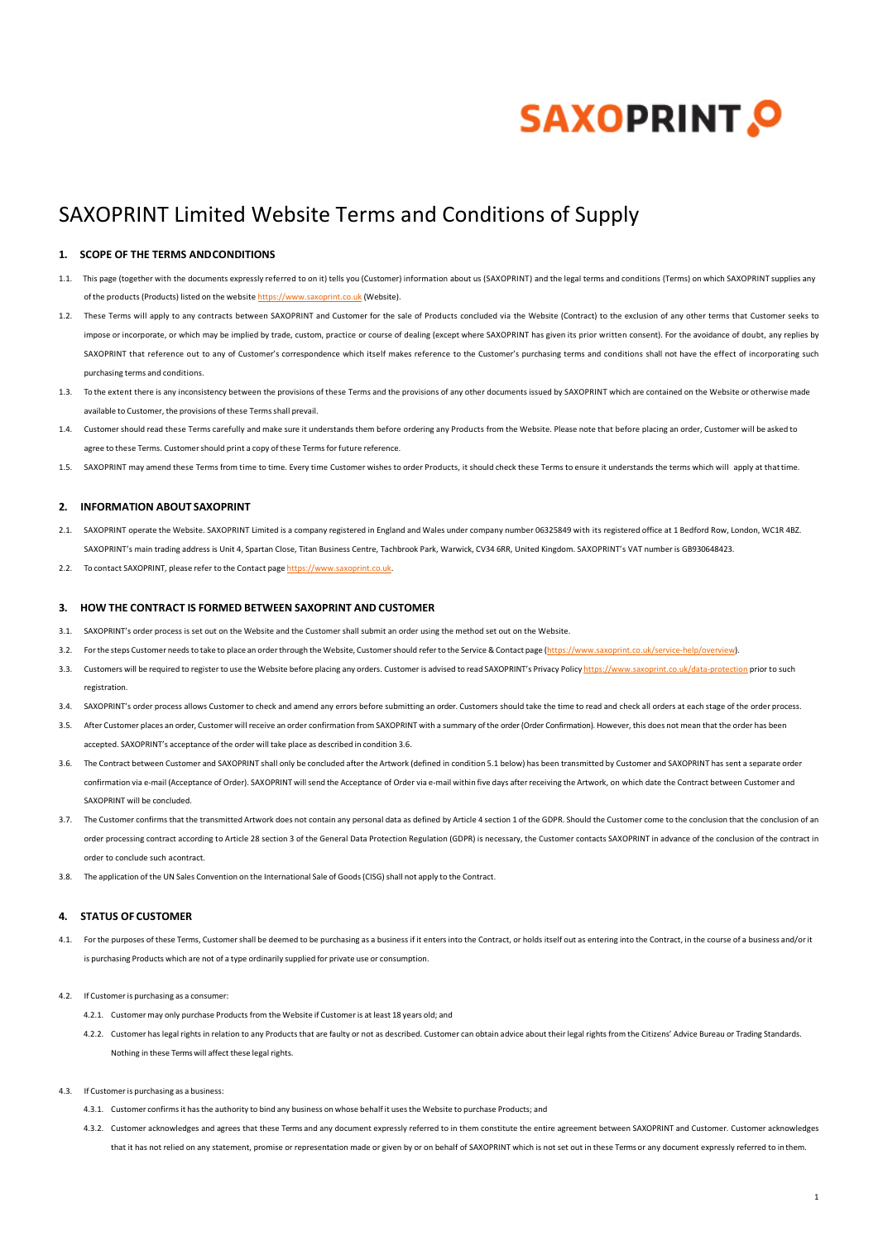# **SAXOPRINT, O**

# SAXOPRINT Limited Website Terms and Conditions of Supply

# **1. SCOPE OF THE TERMS ANDCONDITIONS**

- 1.1. This page (together with the documents expressly referred to on it) tells you (Customer) information about us (SAXOPRINT) and the legal terms and conditions (Terms) on which SAXOPRINT supplies any of the products (Products) listed on the website [https://www.saxoprint.co.uk](https://www.saxoprint.co.uk/) (Website).
- 1.2. These Terms will apply to any contracts between SAXOPRINT and Customer for the sale of Products concluded via the Website (Contract) to the exclusion of any other terms that Customer seeks to impose or incorporate, or which may be implied by trade, custom, practice or course of dealing (except where SAXOPRINT has given its prior written consent). For the avoidance of doubt, any replies by SAXOPRINT that reference out to any of Customer's correspondence which itself makes reference to the Customer's purchasing terms and conditions shall not have the effect of incorporating such purchasing terms and conditions.
- 1.3. To the extent there is any inconsistency between the provisions of these Terms and the provisions of any other documents issued by SAXOPRINT which are contained on the Website or otherwise made available to Customer, the provisions of these Termsshall prevail.
- 1.4. Customer should read these Terms carefully and make sure it understands them before ordering any Products from the Website. Please note that before placing an order, Customer will be asked to agree to these Terms. Customershould print a copy of these Termsforfuture reference.
- 1.5. SAXOPRINT may amend these Terms from time to time. Every time Customer wishes to order Products, it should check these Terms to ensure it understands the terms which will apply at that time.

# **2. INFORMATION ABOUT SAXOPRINT**

- 2.1. SAXOPRINT operate the Website. SAXOPRINT Limited is a company registered in England and Wales under company number 06325849 with its registered office at 1 Bedford Row, London, WC1R 4BZ. SAXOPRINT's main trading address is Unit 4, Spartan Close, Titan Business Centre, Tachbrook Park, Warwick, CV34 6RR, United Kingdom. SAXOPRINT's VAT number is GB930648423.
- 2.2. To contact SAXOPRINT, please refer to the Contact page [https://www.saxoprint.co.uk.](https://www.saxoprint.co.uk/)

#### **3. HOW THE CONTRACT IS FORMED BETWEEN SAXOPRINT AND CUSTOMER**

- 3.1. SAXOPRINT's order process is set out on the Website and the Customer shall submit an order using the method set out on the Website.
- 3.2. For the steps Customer needs to take to place an order through the Website, Customer should refer to the Service & Contact page [\(https://www.saxoprint.co.uk/service-help/overview\).](https://www.saxoprint.co.uk/service-help/overview)
- 3.3. Customers will be required to register to use the Website before placing any orders. Customer is advised to read SAXOPRINT's Privacy Policy <https://www.saxoprint.co.uk/data-protection> prior to such registration.
- 3.4. SAXOPRINT's order process allows Customer to check and amend any errors before submitting an order. Customers should take the time to read and check all orders at each stage of the order process.
- 3.5. After Customer places an order, Customer will receive an order confirmation from SAXOPRINT with a summary of the order (Order Confirmation). However, this does not mean that the order has been accepted. SAXOPRINT's acceptance of the order will take place as described in condition 3.6.
- 3.6. The Contract between Customer and SAXOPRINT shall only be concluded after the Artwork (defined in condition 5.1 below) has been transmitted by Customer and SAXOPRINT has sent a separate order confirmation via e-mail (Acceptance of Order). SAXOPRINT will send the Acceptance of Order via e-mail within five days after receiving the Artwork, on which date the Contract between Customer and SAXOPRINT will be concluded.
- 3.7. The Customer confirms that the transmitted Artwork does not contain any personal data as defined by Article 4 section 1 of the GDPR. Should the Customer come to the conclusion that the conclusion of an order processing contract according to Article 28 section 3 of the General Data Protection Regulation (GDPR) is necessary, the Customer contacts SAXOPRINT in advance of the conclusion of the contract in order to conclude such acontract.
- 3.8. The application of the UN Sales Convention on the International Sale of Goods (CISG) shall not apply to the Contract.

## **4. STATUS OF CUSTOMER**

- 4.1. For the purposes of these Terms, Customer shall be deemed to be purchasing as a business if it enters into the Contract, or holds itself out as entering into the Contract, in the course of a business and/or it is purchasing Products which are not of a type ordinarily supplied for private use or consumption.
- 4.2. If Customeris purchasing as a consumer:
	- 4.2.1. Customer may only purchase Products from the Website if Customeris at least 18 years old; and
	- 4.2.2. Customer has legal rights in relation to any Products that are faulty or not as described. Customer can obtain advice about their legal rights from the Citizens' Advice Bureau or Trading Standards. Nothing in these Terms will affect these legal rights.
- 4.3. If Customeris purchasing as a business:
	- 4.3.1. Customer confirmsit hasthe authority to bind any business on whose behalf it usesthe Website to purchase Products; and
	- 4.3.2. Customer acknowledges and agrees that these Terms and any document expressly referred to in them constitute the entire agreement between SAXOPRINT and Customer. Customer acknowledges that it has not relied on any statement, promise or representation made or given by or on behalf of SAXOPRINT which is not set out in these Terms or any document expressly referred to inthem.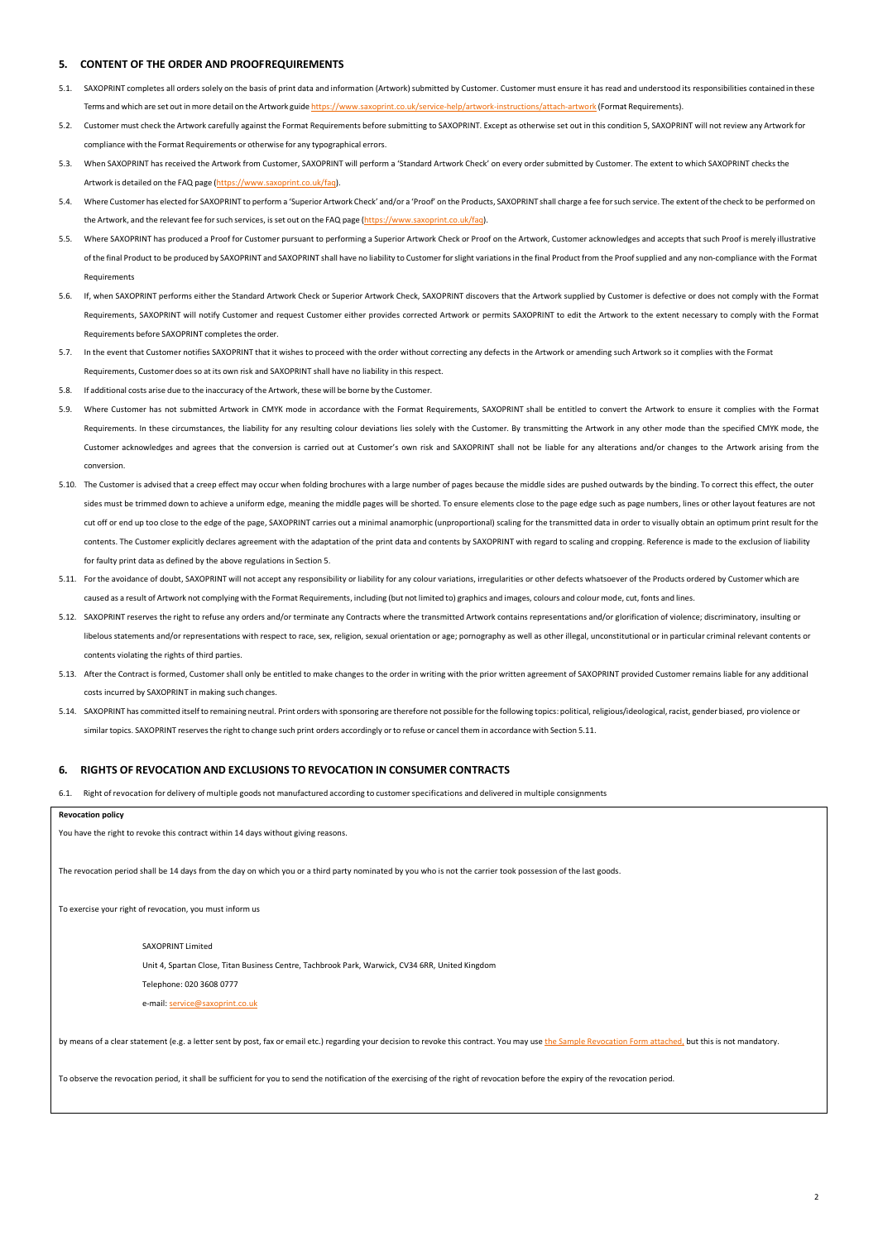#### **5. CONTENT OF THE ORDER AND PROOFREQUIREMENTS**

- 5.1. SAXOPRINT completes all orders solely on the basis of print data and information (Artwork) submitted by Customer. Customer must ensure it has read and understood its responsibilities contained in these Terms and which are set out in more detail on the Artwork guide <https://www.saxoprint.co.uk/service-help/artwork-instructions/attach-artwork> (Format Requirements).
- 5.2. Customer must check the Artwork carefully against the Format Requirements before submitting to SAXOPRINT. Except as otherwise set out in this condition 5, SAXOPRINT will not review any Artwork for compliance with the Format Requirements or otherwise for any typographical errors.
- 5.3. When SAXOPRINT has received the Artwork from Customer, SAXOPRINT will perform a 'Standard Artwork Check' on every order submitted by Customer. The extent to which SAXOPRINT checksthe Artwork is detailed on the FAQ page [\(https://www.saxoprint.co.uk/faq\).](https://www.saxoprint.co.uk/faq)
- 5.4. Where Customer has elected for SAXOPRINT to perform a 'Superior Artwork Check' and/or a 'Proof' on the Products, SAXOPRINT shall charge a fee forsuch service. The extent of the check to be performed on the Artwork, and the relevant fee forsuch services, isset out on the FAQ page [\(https://www.saxoprint.co.uk/faq\).](https://www.saxoprint.co.uk/faq)
- 5.5. Where SAXOPRINT has produced a Proof for Customer pursuant to performing a Superior Artwork Check or Proof on the Artwork, Customer acknowledges and accepts that such Proof is merely illustrative of the final Product to be produced by SAXOPRINT and SAXOPRINT shall have no liability to Customerforslight variationsin the final Product from the Proofsupplied and any non-compliance with the Format Requirements
- 5.6. If, when SAXOPRINT performs either the Standard Artwork Check or Superior Artwork Check, SAXOPRINT discovers that the Artwork supplied by Customer is defective or does not comply with the Format Requirements, SAXOPRINT will notify Customer and request Customer either provides corrected Artwork or permits SAXOPRINT to edit the Artwork to the extent necessary to comply with the Format Requirements before SAXOPRINT completes the order.
- 5.7. In the event that Customer notifies SAXOPRINT that it wishes to proceed with the order without correcting any defects in the Artwork or amending such Artwork so it complies with the Format uirements, Customer does so at its own risk and SAXOPRINT shall have no liability in this respect.
- 5.8. If additional costs arise due to the inaccuracy of the Artwork, these will be borne by the Customer.
- Where Customer has not submitted Artwork in CMYK mode in accordance with the Format Requirements, SAXOPRINT shall be entitled to convert the Artwork to ensure it complies with the Format Requirements. In these circumstances, the liability for any resulting colour deviations lies solely with the Customer. By transmitting the Artwork in any other mode than the specified CMYK mode, the Customer acknowledges and agrees that the conversion is carried out at Customer's own risk and SAXOPRINT shall not be liable for any alterations and/or changes to the Artwork arising from the conversion.
- 5.10. The Customer is advised that a creep effect may occur when folding brochures with a large number of pages because the middle sides are pushed outwards by the binding. To correct this effect, the outer sides must be trimmed down to achieve a uniform edge, meaning the middle pages will be shorted. To ensure elements close to the page edge such as page numbers, lines or other layout features are not cut off or end up too close to the edge of the page, SAXOPRINT carries out a minimal anamorphic (unproportional) scaling for the transmitted data in order to visually obtain an optimum print result for the contents. The Customer explicitly declares agreement with the adaptation of the print data and contents by SAXOPRINT with regard to scaling and cropping. Reference is made to the exclusion of liability for faulty print data as defined by the above regulations in Section 5.
- 5.11. For the avoidance of doubt, SAXOPRINT will not accept any responsibility or liability for any colour variations, irregularities or other defects whatsoever of the Products ordered by Customer which are caused as a result of Artwork not complying with the Format Requirements, including (but not limited to) graphics and images, colours and colour mode, cut, fonts and lines.
- 5.12. SAXOPRINT reserves the right to refuse any orders and/or terminate any Contracts where the transmitted Artwork contains representations and/or glorification of violence; discriminatory, insulting or libelous statements and/or representations with respect to race, sex, religion, sexual orientation or age; pornography as well as other illegal, unconstitutional or in particular criminal relevant contents or contents violating the rights of third parties.
- 5.13. After the Contract is formed, Customer shall only be entitled to make changes to the order in writing with the prior written agreement of SAXOPRINT provided Customer remains liable for any additional costs incurred by SAXOPRINT in making such changes.
- 5.14. SAXOPRINT has committed itselfto remaining neutral. Print orders with sponsoring are therefore not possible forthe following topics: political, religious/ideological,racist, gender biased, pro violence or similartopics. SAXOPRINT reservesthe right to change such print orders accordingly orto refuse or cancel them in accordance with Section 5.11.

# **6. RIGHTS OF REVOCATION AND EXCLUSIONS TO REVOCATION IN CONSUMER CONTRACTS**

6.1. Right of revocation for delivery of multiple goods not manufactured according to customerspecifications and delivered in multiple consignments

#### **Revocation policy**

You have the right to revoke this contract within 14 days without giving reasons.

The revocation period shall be 14 days from the day on which you or a third party nominated by you who is not the carrier took possession of the last goods.

To exercise your right of revocation, you must inform us

#### SAXOPRINT Limited

Unit 4, Spartan Close, Titan Business Centre, Tachbrook Park, Warwick, CV34 6RR, United Kingdom

Telephone: 020 3608 0777

e-mail[: service@saxoprint.co.uk](mailto:service@saxoprint.co.uk)

by means of a clear statement (e.g. a letter sent by post, fax or email etc.) regarding your decision to revoke this contract. You may us[e the Sample Revocation Form attached,](https://www.saxoprint.co.uk/Librarys/global/sxp/en_GB/download/withdrawalform.pdf) but this is not mandatory.

To observe the revocation period, it shall be sufficient for you to send the notification of the exercising of the right of revocation before the expiry of the revocation period.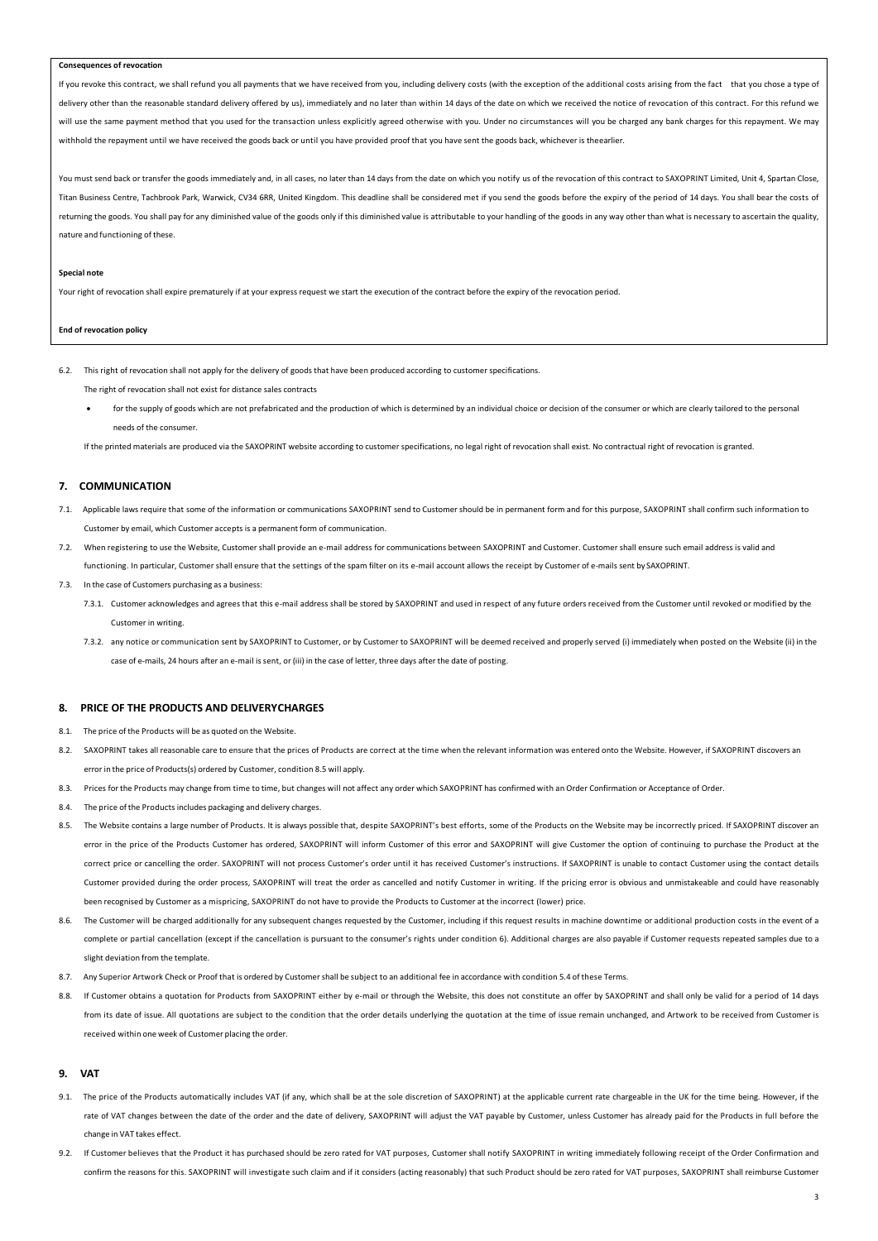#### **Consequences of revocation**

If you revoke this contract, we shall refund you all payments that we have received from you, including delivery costs (with the exception of the additional costs arising from the fact that you chose a type of delivery other than the reasonable standard delivery offered by us), immediately and no later than within 14 days of the date on which we received the notice of revocation of this contract. For this refund we will use the same payment method that you used for the transaction unless explicitly agreed otherwise with you. Under no circumstances will you be charged any bank charges for this repayment. We may withhold the repayment until we have received the goods back or until you have provided proof that you have sent the goods back, whichever is theearlier.

You must send back or transfer the goods immediately and, in all cases, no later than 14 days from the date on which you notify us of the revocation of this contract to SAXOPRINT Limited, Unit 4, Spartan Close, Titan Business Centre, Tachbrook Park, Warwick, CV34 6RR, United Kingdom. This deadline shall be considered met if you send the goods before the expiry of the period of 14 days. You shall bear the costs of returning the goods. You shall pay for any diminished value of the goods only if this diminished value is attributable to your handling of the goods in any way other than what is necessary to ascertain the quality, nature and functioning of these.

#### **Special note**

Your right of revocation shall expire prematurely if at your express request we start the execution of the contract before the expiry of the revocation period.

#### **End of revocation policy**

6.2. This right of revocation shall not apply for the delivery of goods that have been produced according to customer specifications.

The right of revocation shall not exist for distance sales contracts

for the supply of goods which are not prefabricated and the production of which is determined by an individual choice or decision of the consumer or which are clearly tailored to the personal needs of the consumer.

If the printed materials are produced via the SAXOPRINT website according to customer specifications, no legal right of revocation shall exist. No contractual right of revocation is granted.

#### **7. COMMUNICATION**

- 7.1. Applicable laws require that some of the information or communications SAXOPRINT send to Customer should be in permanent form and for this purpose, SAXOPRINT shall confirm such information to Customer by email, which Customer accepts is a permanent form of communication.
- 7.2. When registering to use the Website, Customer shall provide an e-mail address for communications between SAXOPRINT and Customer. Customer shall ensure such email address is valid and functioning. In particular, Customer shall ensure that the settings of the spam filter on its e-mail account allows the receipt by Customer of e-mails sent by SAXOPRINT.
- 7.3. In the case of Customers purchasing as a business:
	- 7.3.1. Customer acknowledges and agrees that this e-mail address shall be stored by SAXOPRINT and used in respect of any future orders received from the Customer until revoked or modified by the Customer in writing.
	- 7.3.2. any notice or communication sent by SAXOPRINT to Customer, or by Customer to SAXOPRINT will be deemed received and properly served (i) immediately when posted on the Website (ii) in the case of e-mails, 24 hours after an e-mail issent, or (iii) in the case of letter, three days after the date of posting.

#### **8. PRICE OF THE PRODUCTS AND DELIVERYCHARGES**

- 8.1. The price of the Products will be as quoted on the Website.
- 8.2. SAXOPRINT takes all reasonable care to ensure that the prices of Products are correct at the time when the relevant information was entered onto the Website. However, if SAXOPRINT discovers an error in the price of Products(s) ordered by Customer, condition 8.5 will apply.
- 8.3. Prices for the Products may change from time to time, but changes will not affect any order which SAXOPRINT has confirmed with an Order Confirmation or Acceptance of Order.
- 8.4. The price of the Products includes packaging and delivery charges.
- 8.5. The Website contains a large number of Products. It is always possible that, despite SAXOPRINT's best efforts, some of the Products on the Website may be incorrectly priced. If SAXOPRINT discover an error in the price of the Products Customer has ordered, SAXOPRINT will inform Customer of this error and SAXOPRINT will give Customer the option of continuing to purchase the Product at the correct price or cancelling the order. SAXOPRINT will not process Customer's order until it has received Customer's instructions. If SAXOPRINT is unable to contact Customer using the contact details Customer provided during the order process, SAXOPRINT will treat the order as cancelled and notify Customer in writing. If the pricing error is obvious and unmistakeable and could have reasonably been recognised by Customer as a mispricing, SAXOPRINT do not have to provide the Products to Customer at the incorrect (lower) price.
- 8.6. The Customer will be charged additionally for any subsequent changes requested by the Customer, including if this request results in machine downtime or additional production costs in the event of a complete or partial cancellation (except if the cancellation is pursuant to the consumer's rights under condition 6). Additional charges are also payable if Customer requests repeated samples due to a slight deviation from the template.
- 8.7. Any Superior Artwork Check or Proof that is ordered by Customershall be subject to an additional fee in accordance with condition 5.4 of these Terms.
- 8.8. If Customer obtains a quotation for Products from SAXOPRINT either by e-mail or through the Website, this does not constitute an offer by SAXOPRINT and shall only be valid for a period of 14 days from its date of issue. All quotations are subiect to the condition that the order details underlying the quotation at the time of issue remain unchanged, and Artwork to be received from Customer is received within one week of Customer placing the order.

#### **9. VAT**

- 9.1. The price of the Products automatically includes VAT (if any, which shall be at the sole discretion of SAXOPRINT) at the applicable current rate chargeable in the UK for the time being. However, if the rate of VAT changes between the date of the order and the date of delivery, SAXOPRINT will adjust the VAT payable by Customer, unless Customer has already paid for the Products in full before the change in VAT takes effect.
- 9.2. If Customer believes that the Product it has purchased should be zero rated for VAT purposes, Customer shall notify SAXOPRINT in writing immediately following receipt of the Order Confirmation and confirm the reasons for this. SAXOPRINT will investigate such claim and if it considers (acting reasonably) that such Product should be zero rated for VAT purposes, SAXOPRINT shall reimburse Customer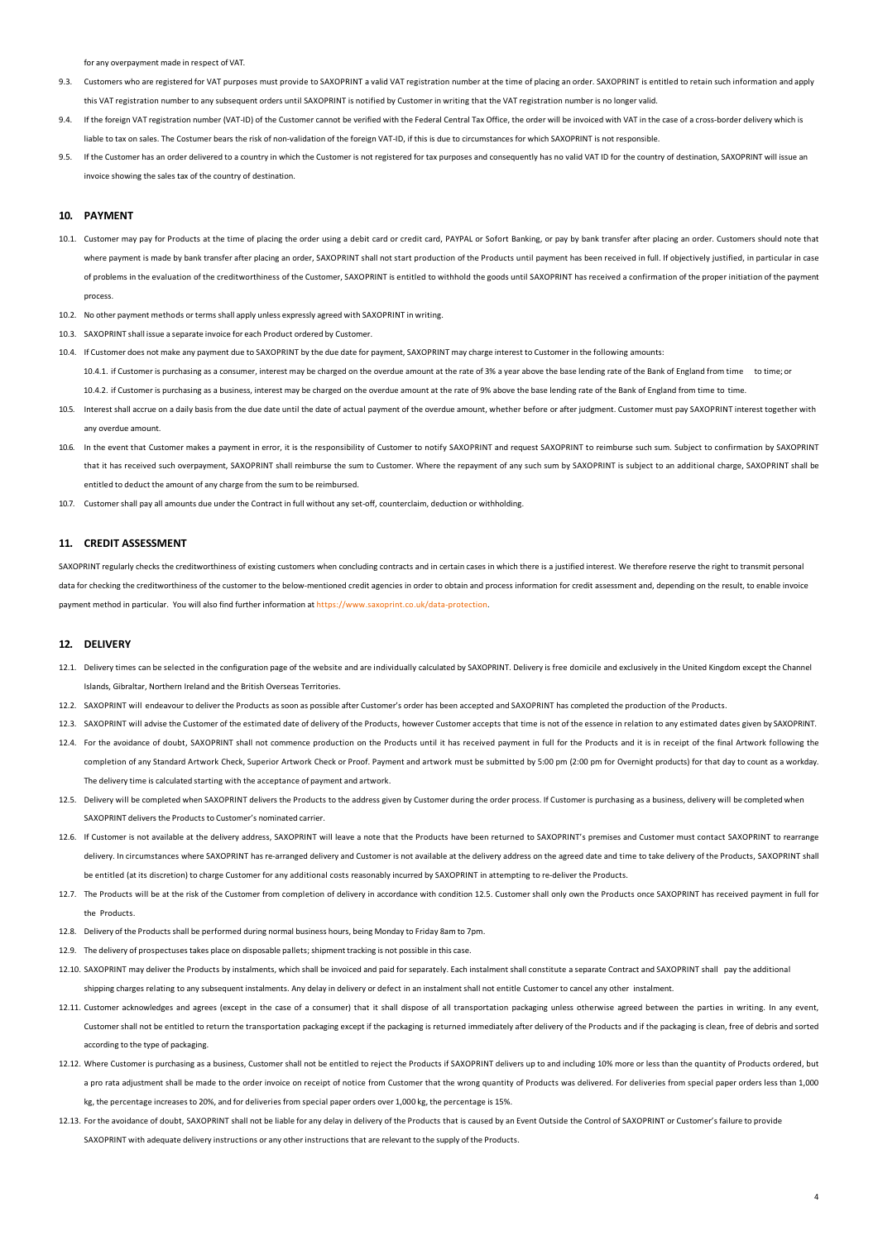for any overpayment made in respect of VAT.

- 9.3. Customers who are registered for VAT purposes must provide to SAXOPRINT a valid VAT registration number at the time of placing an order. SAXOPRINT is entitled to retain such information and apply this VAT registration number to any subsequent orders until SAXOPRINT is notified by Customer in writing that the VAT registration number is no longer valid.
- 9.4. If the foreign VAT registration number (VAT-ID) of the Customer cannot be verified with the Federal Central Tax Office, the order will be invoiced with VAT in the case of a cross-border delivery which is liable to tax on sales. The Costumer bears the risk of non-validation of the foreign VAT-ID, if this is due to circumstances for which SAXOPRINT is not responsible.
- 9.5. If the Customer has an order delivered to a country in which the Customer is not registered for tax purposes and consequently has no valid VAT ID for the country of destination, SAXOPRINT will issue an invoice showing the sales tax of the country of destination.

#### **10. PAYMENT**

- 10.1. Customer may pay for Products at the time of placing the order using a debit card or credit card, PAYPAL or Sofort Banking, or pay by bank transfer after placing an order. Customers should note that where payment is made by bank transfer after placing an order. SAXOPRINT shall not start production of the Products until payment has been received in full. If objectively justified, in particular in case of problems in the evaluation of the creditworthiness of the Customer, SAXOPRINT is entitled to withhold the goods until SAXOPRINT has received a confirmation of the proper initiation of the payment process.
- 10.2. No other payment methods or terms shall apply unless expressly agreed with SAXOPRINT in writing.
- 10.3. SAXOPRINT shall issue a separate invoice for each Product ordered by Customer.
- 10.4. If Customer does not make any payment due to SAXOPRINT by the due date for payment, SAXOPRINT may charge interest to Customer in the following amounts: 10.4.1. if Customer is purchasing as a consumer, interest may be charged on the overdue amount at the rate of 3% a year above the base lending rate of the Bank of England from time to time; or 10.4.2. if Customer is purchasing as a business, interest may be charged on the overdue amount at the rate of 9% above the base lending rate of the Bank of England from time to time.
- 10.5. Interest shall accrue on a daily basis from the due date until the date of actual payment of the overdue amount, whether before or after judgment. Customer must pay SAXOPRINT interest together with any overdue amount.
- 10.6. In the event that Customer makes a payment in error, it is the responsibility of Customer to notify SAXOPRINT and request SAXOPRINT to reimburse such sum. Subject to confirmation by SAXOPRINT that it has received such overpayment, SAXOPRINT shall reimburse the sum to Customer. Where the repayment of any such sum by SAXOPRINT is subject to an additional charge, SAXOPRINT shall be entitled to deduct the amount of any charge from the sum to be reimbursed.
- 10.7. Customer shall pay all amounts due under the Contract in full without any set-off, counterclaim, deduction or withholding.

# **11. CREDIT ASSESSMENT**

SAXOPRINT regularly checks the creditworthiness of existing customers when concluding contracts and in certain cases in which there is a justified interest. We therefore reserve the right to transmit personal data for checking the creditworthiness of the customer to the below-mentioned credit agencies in order to obtain and process information for credit assessment and, depending on the result, to enable invoice payment method in particular. You will also find further information at [https://www.saxoprint.co.uk/data-protection.](https://www.saxoprint.co.uk/data-protection)

# **12. DELIVERY**

- 12.1. Delivery times can be selected in the configuration page of the website and are individually calculated by SAXOPRINT. Delivery is free domicile and exclusively in the United Kingdom except the Channel ds, Gibraltar, Northern Ireland and the British Overseas Territories
- 12.2. SAXOPRINT will endeavour to deliver the Products as soon as possible after Customer's order has been accepted and SAXOPRINT has completed the production of the Products.
- 12.3. SAXOPRINT will advise the Customer of the estimated date of delivery of the Products, however Customer accepts that time is not of the essence in relation to any estimated dates given by SAXOPRINT.
- 12.4. For the avoidance of doubt, SAXOPRINT shall not commence production on the Products until it has received payment in full for the Products and it is in receipt of the final Artwork following the completion of any Standard Artwork Check, Superior Artwork Check or Proof. Payment and artwork must be submitted by 5:00 pm (2:00 pm for Overnight products) for that day to count as a workday. The delivery time is calculated starting with the acceptance of payment and artwork.
- 12.5. Delivery will be completed when SAXOPRINT delivers the Products to the address given by Customer during the order process. If Customer is purchasing as a business, delivery will be completed when SAXOPRINT delivers the Products to Customer's nominated carrier.
- 12.6. If Customer is not available at the delivery address, SAXOPRINT will leave a note that the Products have been returned to SAXOPRINT's premises and Customer must contact SAXOPRINT to rearrange delivery. In circumstances where SAXOPRINT has re-arranged delivery and Customer is not available at the delivery address on the agreed date and time to take delivery of the Products, SAXOPRINT shall be entitled (at its discretion) to charge Customer for any additional costs reasonably incurred by SAXOPRINT in attempting to re-deliver the Products.
- 12.7. The Products will be at the risk of the Customer from completion of delivery in accordance with condition 12.5. Customer shall only own the Products once SAXOPRINT has received payment in full for the Products.
- 12.8. Delivery of the Products shall be performed during normal business hours, being Monday to Friday 8am to 7pm.
- 12.9. The delivery of prospectuses takes place on disposable pallets; shipment tracking is not possible in this case.
- 12.10. SAXOPRINT may deliver the Products by instalments, which shall be invoiced and paid for separately. Each instalment shall constitute a separate Contract and SAXOPRINT shall pay the additional shipping charges relating to any subsequent instalments. Any delay in delivery or defect in an instalment shall not entitle Customer to cancel any other instalment.
- 12.11. Customer acknowledges and agrees (except in the case of a consumer) that it shall dispose of all transportation packaging unless otherwise agreed between the parties in writing. In any event, Customer shall not be entitled to return the transportation packaging except if the packaging is returned immediately after delivery of the Products and if the packaging is clean, free of debris and sorted according to the type of packaging.
- 12.12. Where Customer is purchasing as a business, Customer shall not be entitled to reject the Products if SAXOPRINT delivers up to and including 10% more or less than the quantity of Products ordered, but a pro rata adjustment shall be made to the order invoice on receipt of notice from Customer that the wrong quantity of Products was delivered. For deliveries from special paper orders less than 1,000 kg, the percentage increases to 20%, and for deliveries from special paper orders over 1,000 kg, the percentage is 15%.
- 12.13. For the avoidance of doubt, SAXOPRINT shall not be liable for any delay in delivery of the Products that is caused by an Event Outside the Control of SAXOPRINT or Customer's failure to provide SAXOPRINT with adequate delivery instructions or any other instructions that are relevant to the supply of the Products.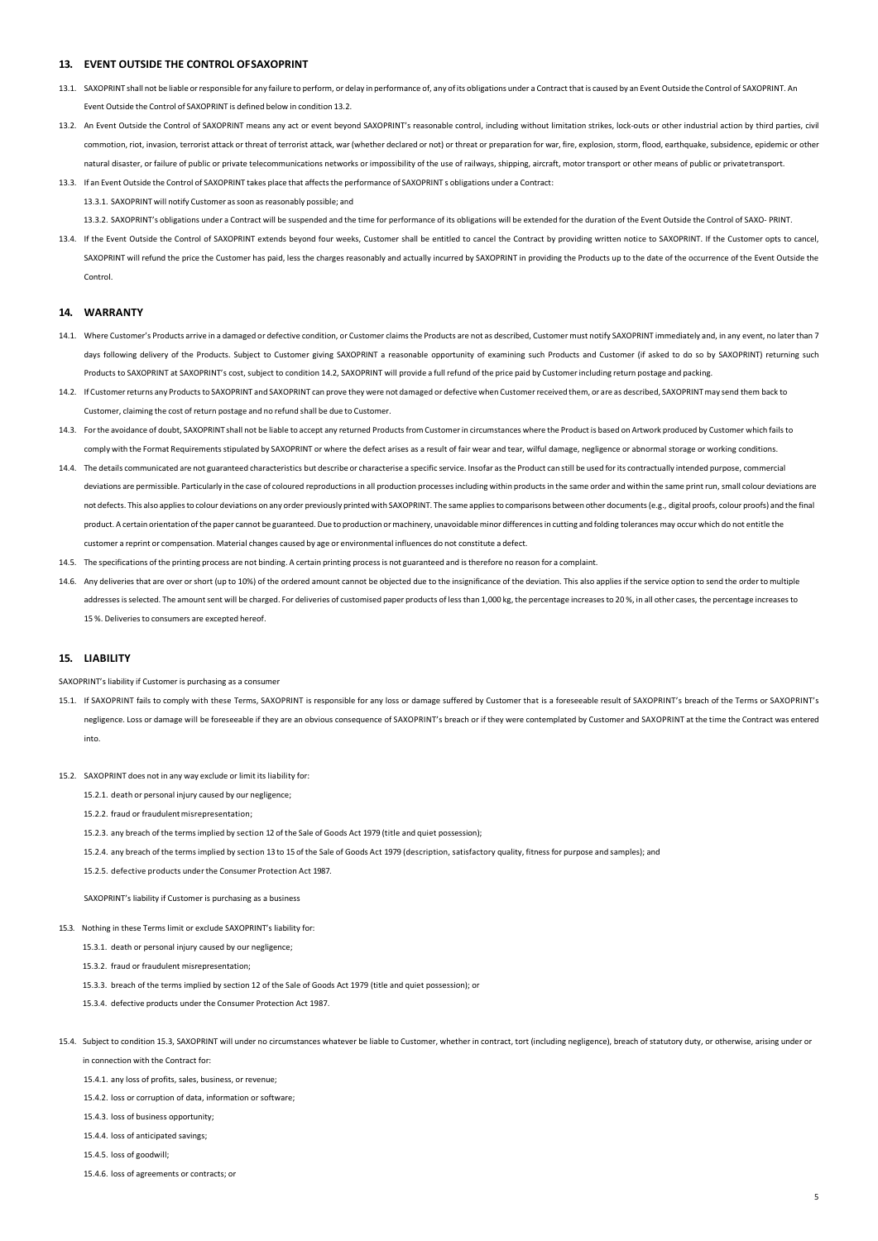#### **13. EVENT OUTSIDE THE CONTROL OFSAXOPRINT**

- 13.1. SAXOPRINT shall not be liable orresponsible for any failure to perform, or delay in performance of, any of its obligations under a Contract thatis caused by an Event Outside the Control of SAXOPRINT. An Event Outside the Control of SAXOPRINT is defined below in condition 13.2.
- 13.2. An Event Outside the Control of SAXOPRINT means any act or event beyond SAXOPRINT's reasonable control, including without limitation strikes, lock-outs or other industrial action by third parties, civil commotion, riot, invasion, terrorist attack or threat of terrorist attack, war (whether declared or not) or threat or preparation for war, fire, explosion, storm, flood, earthquake, subsidence, epidemic or other natural disaster, or failure of public or private telecommunications networks or impossibility of the use of railways, shipping, aircraft, motor transport or other means of public or privatetransport.
- 13.3. If an Event Outside the Control of SAXOPRINT takes place that affectsthe performance of SAXOPRINT s obligations under a Contract: 13.3.1. SAXOPRINT will notify Customer assoon as reasonably possible; and

13.3.2. SAXOPRINT's obligations under a Contract will be suspended and the time for performance of its obligations will be extended for the duration of the Event Outside the Control of SAXO- PRINT.

13.4. If the Event Outside the Control of SAXOPRINT extends beyond four weeks, Customer shall be entitled to cancel the Contract by providing written notice to SAXOPRINT. If the Customer opts to cancel, SAXOPRINT will refund the price the Customer has paid, less the charges reasonably and actually incurred by SAXOPRINT in providing the Products up to the date of the occurrence of the Event Outside the **Control** 

#### **14. WARRANTY**

- 14.1. Where Customer's Products arrive in a damaged or defective condition, or Customer claimsthe Products are not as described, Customer must notify SAXOPRINT immediately and, in any event, no later than 7 days following delivery of the Products. Subject to Customer giving SAXOPRINT a reasonable opportunity of examining such Products and Customer (if asked to do so by SAXOPRINT) returning such Products to SAXOPRINT at SAXOPRINT's cost, subject to condition 14.2, SAXOPRINT will provide a full refund of the price paid by Customerincluding return postage and packing.
- 14.2. If Customer returns any Products to SAXOPRINT and SAXOPRINT can prove they were not damaged or defective when Customer received them, or are as described, SAXOPRINT may send them back to Customer, claiming the cost of return postage and no refund shall be due to Customer.
- 14.3. Forthe avoidance of doubt, SAXOPRINT shall not be liable to accept any returned Productsfrom Customerin circumstances where the Product is based on Artwork produced by Customer which failsto comply with the Format Requirementsstipulated by SAXOPRINT or where the defect arises as a result of fair wear and tear, wilful damage, negligence or abnormal storage or working conditions.
- 14.4. The details communicated are not guaranteed characteristics but describe or characterise a specific service. Insofar as the Product can still be used for its contractually intended purpose, commercial deviations are permissible. Particularly in the case of coloured reproductions in all production processes including within products in the same order and within the same print run, small colour deviations are not defects. This also appliesto colour deviations on any order previously printed with SAXOPRINT. The same appliesto comparisons between other documents(e.g., digital proofs, colour proofs) and the final product. A certain orientation ofthe paper cannot be guaranteed. Due to production ormachinery, unavoidable minor differencesin cutting and folding tolerances may occur which do not entitle the customer a reprint or compensation. Material changes caused by age or environmental influences do not constitute a defect.
- 14.5. The specifications of the printing process are not binding. A certain printing processis not guaranteed and istherefore no reason for a complaint.
- 14.6. Any deliveries that are over orshort (up to 10%) of the ordered amount cannot be objected due to the insignificance of the deviation. This also applies if the service option to send the orderto multiple addresses is selected. The amount sent will be charged. For deliveries of customised paper products of less than 1,000 kg, the percentage increases to 20%, in all other cases, the percentage increases to 15 %. Deliveries to consumers are excepted hereof.

# **15. LIABILITY**

SAXOPRINT's liability if Customer is purchasing as a consumer

- 15.1. If SAXOPRINT fails to comply with these Terms, SAXOPRINT is responsible for any loss or damage suffered by Customer that is a foreseeable result of SAXOPRINT's breach of the Terms or SAXOPRINT's negligence. Loss or damage will be foreseeable if they are an obvious consequence of SAXOPRINT's breach or if they were contemplated by Customer and SAXOPRINT at the time the Contract was entered into.
- 15.2. SAXOPRINT does not in any way exclude or limit its liability for:
	- 15.2.1. death or personal injury caused by our negligence;

15.2.2. fraud or fraudulent misrepresentation;

- 15.2.3. any breach of the termsimplied by section 12 of the Sale of Goods Act 1979 (title and quiet possession);
- 15.2.4. any breach of the terms implied by section 13 to 15 of the Sale of Goods Act 1979 (description, satisfactory quality, fitness for purpose and samples); and
- 15.2.5. defective products underthe Consumer Protection Act 1987.

SAXOPRINT's liability if Customer is purchasing as a business

- 15.3. Nothing in these Terms limit or exclude SAXOPRINT's liability for:
	- 15.3.1. death or personal injury caused by our negligence;
	- 15.3.2. fraud or fraudulent misrepresentation;
	- 15.3.3. breach of the terms implied by section 12 of the Sale of Goods Act 1979 (title and quiet possession); or
	- 15.3.4. defective products under the Consumer Protection Act 1987.
- 15.4. Subject to condition 15.3, SAXOPRINT will under no circumstances whatever be liable to Customer, whether in contract, tort (including negligence), breach of statutory duty, or otherwise, arising under or in connection with the Contract for:

15.4.1. any loss of profits, sales, business, or revenue;

- 15.4.2. loss or corruption of data, information or software;
- 15.4.3. loss of business opportunity;
- 15.4.4. loss of anticipated savings;

15.4.5. loss of goodwill;

15.4.6. loss of agreements or contracts; or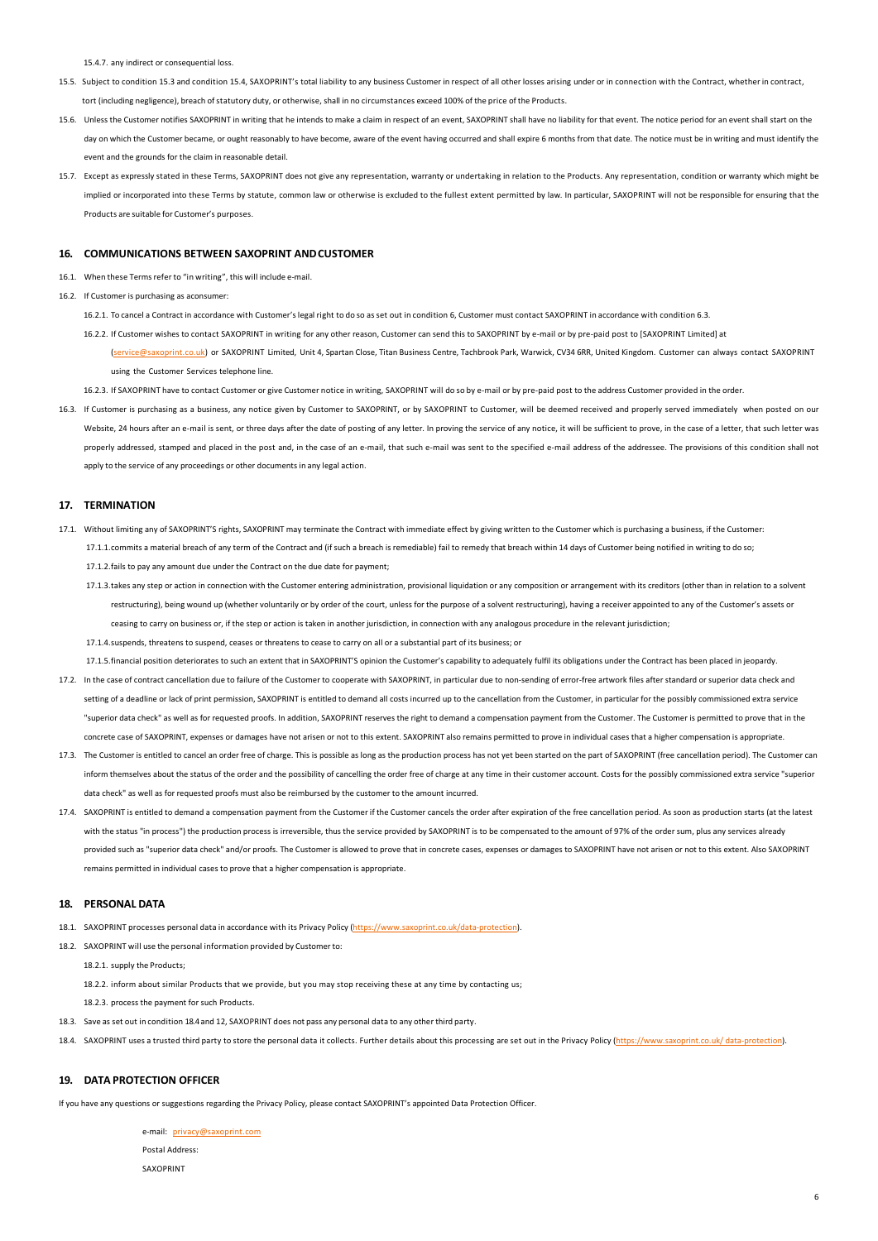15.4.7. any indirect or consequential loss.

- 15.5. Subject to condition 15.3 and condition 15.4, SAXOPRINT's total liability to any business Customer in respect of all other losses arising under or in connection with the Contract, whether in contract, tort (including negligence), breach ofstatutory duty, or otherwise, shall in no circumstances exceed 100% of the price of the Products.
- 15.6. Unless the Customer notifies SAXOPRINT in writing that he intends to make a claim in respect of an event, SAXOPRINT shall have no liability for that event. The notice period for an event shall start on the day on which the Customer became, or ought reasonably to have become, aware of the event having occurred and shall expire 6 months from that date. The notice must be in writing and must identify the vent and the grounds for the claim in reasonable detail.
- 15.7. Except as expressly stated in these Terms, SAXOPRINT does not give any representation, warranty or undertaking in relation to the Products. Any representation, condition or warranty which might be implied or incorporated into these Terms by statute, common law or otherwise is excluded to the fullest extent permitted by law. In particular, SAXOPRINT will not be responsible for ensuring that the Products are suitable for Customer's purposes.

#### **16. COMMUNICATIONS BETWEEN SAXOPRINT ANDCUSTOMER**

- 16.1. When these Terms refer to "in writing", this will include e-mail
- 16.2. If Customer is purchasing as aconsumer:
	- 16.2.1. To cancel a Contract in accordance with Customer's legal right to do so as set out in condition 6, Customer must contact SAXOPRINT in accordance with condition 6.3.

16.2.2. If Customer wishes to contact SAXOPRINT in writing for any other reason, Customer can send this to SAXOPRINT by e-mail or by pre-paid post to [SAXOPRINT Limited] at

(service@saxoprint.co.uk) or SAXOPRINT Limited, Unit 4, Spartan Close, Titan Business Centre, Tachbrook Park, Warwick, CV34 6RR, United Kingdom. Customer can always contact SAXOPRINT using the Customer Services telephone line.

16.2.3. If SAXOPRINT have to contact Customer or give Customer notice in writing, SAXOPRINT will do so by e-mail or by pre-paid post to the address Customer provided in the order.

16.3. If Customer is purchasing as a business, any notice given by Customer to SAXOPRINT, or by SAXOPRINT to Customer, will be deemed received and properly served immediately when posted on our Website, 24 hours after an e-mail is sent, or three days after the date of posting of any letter. In proving the service of any notice, it will be sufficient to prove, in the case of a letter, that such letter was properly addressed, stamped and placed in the post and, in the case of an e-mail, that such e-mail was sent to the specified e-mail address of the addressee. The provisions of this condition shall not apply to the service of any proceedings or other documents in any legal action.

#### **17. TERMINATION**

- 17.1. Without limiting any of SAXOPRINT'S rights, SAXOPRINT may terminate the Contract with immediate effect by giving written to the Customer which is purchasing a business, if the Customer: 17.1.1.commits a material breach of any term of the Contract and (if such a breach is remediable) fail to remedy that breach within 14 days of Customer being notified in writing to do so; 17.1.2.fails to pay any amount due under the Contract on the due date for payment;
	- 17.1.3.takes any step or action in connection with the Customer entering administration, provisional liquidation or any composition or arrangement with its creditors (other than in relation to a solvent restructuring), being wound up (whether voluntarily or by order of the court, unless for the purpose of a solvent restructuring), having a receiver appointed to any of the Customer's assets or ceasing to carry on business or, if the step or action is taken in another jurisdiction, in connection with any analogous procedure in the relevant jurisdiction;

17.1.4.suspends, threatens to suspend, ceases or threatens to cease to carry on all or a substantial part of its business; or

17.1.5.financial position deteriorates to such an extent that in SAXOPRINT'S opinion the Customer's capability to adequately fulfil its obligations under the Contract has been placed in jeopardy.

- 17.2. In the case of contract cancellation due to failure of the Customer to cooperate with SAXOPRINT, in particular due to non-sending of error-free artwork files after standard or superior data check and setting of a deadline or lack of print permission, SAXOPRINT is entitled to demand all costs incurred up to the cancellation from the Customer, in particular for the possibly commissioned extra service "superior data check" as well as for requested proofs. In addition, SAXOPRINT reserves the right to demand a compensation payment from the Customer. The Customer is permitted to prove that in the concrete case of SAXOPRINT, expenses or damages have not arisen or not to this extent. SAXOPRINT also remains permitted to prove in individual cases that a higher compensation is appropriate.
- 17.3. The Customer is entitled to cancel an order free of charge. This is possible as long as the production process has not yet been started on the part of SAXOPRINT (free cancellation period). The Customer can inform themselves about the status of the order and the possibility of cancelling the order free of charge at any time in their customer account. Costs for the possibly commissioned extra service "superior data check" as well as for requested proofs must also be reimbursed by the customer to the amount incurred.
- 17.4. SAXOPRINT is entitled to demand a compensation payment from the Customer if the Customer cancels the order after expiration of the free cancellation period. As soon as production starts (at the latest with the status "in process") the production process is irreversible, thus the service provided by SAXOPRINT is to be compensated to the amount of 97% of the order sum, plus any services already provided such as "superior data check" and/or proofs. The Customer is allowed to prove that in concrete cases, expenses or damages to SAXOPRINT have not arisen or not to this extent. Also SAXOPRINT remains permitted in individual cases to prove that a higher compensation is appropriate.

#### **18. PERSONAL DATA**

- 18.1. SAXOPRINT processes personal data in accordance with its Privacy Policy [\(https://www.saxoprint.co.uk/data-protection\).](https://www.saxoprint.co.uk/data-protection)
- 18.2. SAXOPRINT will use the personal information provided by Customer to:
	- 18.2.1. supply the Products;
	- 18.2.2. inform about similar Products that we provide, but you may stop receiving these at any time by contacting us;
	- 18.2.3. process the payment for such Products.
- 18.3. Save as set out in condition 18.4 and 12, SAXOPRINT does not pass any personal data to any other third party.
- 18.4. SAXOPRINT uses a trusted third party to store the personal data it collects. Further details about this processing are set out in the Privacy Policy [\(https://www.saxoprint.co.uk/](https://www.saxoprint.co.uk/data-protection) [data-protection\).](https://www.saxoprint.co.uk/data-protection)

6

# **19. DATA PROTECTION OFFICER**

If you have any questions or suggestions regarding the Privacy Policy, please contact SAXOPRINT's appointed Data Protection Officer.

e-mail: [privacy@saxoprint.com](mailto:privacy@saxoprint.com) Postal Address: SAXOPRINT